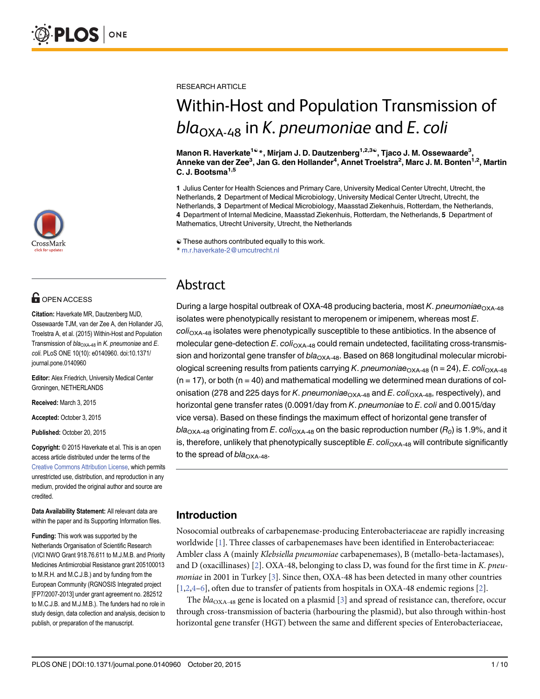

# **G** OPEN ACCESS

Citation: Haverkate MR, Dautzenberg MJD, Ossewaarde TJM, van der Zee A, den Hollander JG, Troelstra A, et al. (2015) Within-Host and Population Transmission of  $bla_{OXA-48}$  in K. pneumoniae and E. coli. PLoS ONE 10(10): e0140960. doi:10.1371/ journal.pone.0140960

Editor: Alex Friedrich, University Medical Center Groningen, NETHERLANDS

Received: March 3, 2015

Accepted: October 3, 2015

Published: October 20, 2015

Copyright: © 2015 Haverkate et al. This is an open access article distributed under the terms of the [Creative Commons Attribution License,](http://creativecommons.org/licenses/by/4.0/) which permits unrestricted use, distribution, and reproduction in any medium, provided the original author and source are credited.

Data Availability Statement: All relevant data are within the paper and its Supporting Information files.

Funding: This work was supported by the Netherlands Organisation of Scientific Research (VICI NWO Grant 918.76.611 to M.J.M.B. and Priority Medicines Antimicrobial Resistance grant 205100013 to M.R.H. and M.C.J.B.) and by funding from the European Community (RGNOSIS Integrated project [FP7/2007-2013] under grant agreement no. 282512 to M.C.J.B. and M.J.M.B.). The funders had no role in study design, data collection and analysis, decision to publish, or preparation of the manuscript.

<span id="page-0-0"></span>RESEARCH ARTICLE

# Within-Host and Population Transmission of  $bla_{\text{OXA-48}}$  in K. pneumoniae and E. coli

Manon R. Haverkate<sup>1ଢ</sup>\*, Mirjam J. D. Dautzenberg<sup>1,2,3ଢ</sup>, Tjaco J. M. Ossewaarde<sup>3</sup>, Anneke van der Zee<sup>3</sup>, Jan G. den Hollander<sup>4</sup>, Annet Troelstra<sup>2</sup>, Marc J. M. Bonten<sup>1,2</sup>, Martin C. J. Bootsma<sup>1,5</sup>

1 Julius Center for Health Sciences and Primary Care, University Medical Center Utrecht, Utrecht, the Netherlands, 2 Department of Medical Microbiology, University Medical Center Utrecht, Utrecht, the Netherlands, 3 Department of Medical Microbiology, Maasstad Ziekenhuis, Rotterdam, the Netherlands, 4 Department of Internal Medicine, Maasstad Ziekenhuis, Rotterdam, the Netherlands, 5 Department of Mathematics, Utrecht University, Utrecht, the Netherlands

☯ These authors contributed equally to this work.

\* m.r.haverkate-2@umcutrecht.nl

## Abstract

During a large hospital outbreak of OXA-48 producing bacteria, most K. pneumoniae $_{\text{OXA-48}}$ isolates were phenotypically resistant to meropenem or imipenem, whereas most E.  $coli<sub>OXA-48</sub>$  isolates were phenotypically susceptible to these antibiotics. In the absence of molecular gene-detection  $E$ . coli<sub>OXA-48</sub> could remain undetected, facilitating cross-transmission and horizontal gene transfer of  $bla_{\text{OXA-48}}$ . Based on 868 longitudinal molecular microbiological screening results from patients carrying K. pneumoniae<sub>OXA-48</sub> (n = 24), E. coli<sub>OXA-48</sub>  $(n = 17)$ , or both  $(n = 40)$  and mathematical modelling we determined mean durations of colonisation (278 and 225 days for K. pneumoniae $_{\text{OXA-48}}$  and E. coli<sub>OXA-48</sub>, respectively), and horizontal gene transfer rates (0.0091/day from K. pneumoniae to E. coli and 0.0015/day vice versa). Based on these findings the maximum effect of horizontal gene transfer of bla<sub>OXA-48</sub> originating from E. coli<sub>OXA-48</sub> on the basic reproduction number ( $R_0$ ) is 1.9%, and it is, therefore, unlikely that phenotypically susceptible  $E$ .  $coli<sub>OXA-48</sub>$  will contribute significantly to the spread of  $bla_{\text{OXA-48}}$ .

## Introduction

Nosocomial outbreaks of carbapenemase-producing Enterobacteriaceae are rapidly increasing worldwide [[1](#page-8-0)]. Three classes of carbapenemases have been identified in Enterobacteriaceae: Ambler class A (mainly Klebsiella pneumoniae carbapenemases), B (metallo-beta-lactamases), and D (oxacillinases) [[2\]](#page-8-0). OXA-48, belonging to class D, was found for the first time in K. pneu*moniae* in 2001 in Turkey  $[3]$  $[3]$ . Since then, OXA-48 has been detected in many other countries  $[1,2,4-6]$  $[1,2,4-6]$  $[1,2,4-6]$  $[1,2,4-6]$ , often due to transfer of patients from hospitals in OXA-48 endemic regions  $[2]$ .

The  $bla_{\text{OXA-48}}$  gene is located on a plasmid [[3\]](#page-8-0) and spread of resistance can, therefore, occur through cross-transmission of bacteria (harbouring the plasmid), but also through within-host horizontal gene transfer (HGT) between the same and different species of Enterobacteriaceae,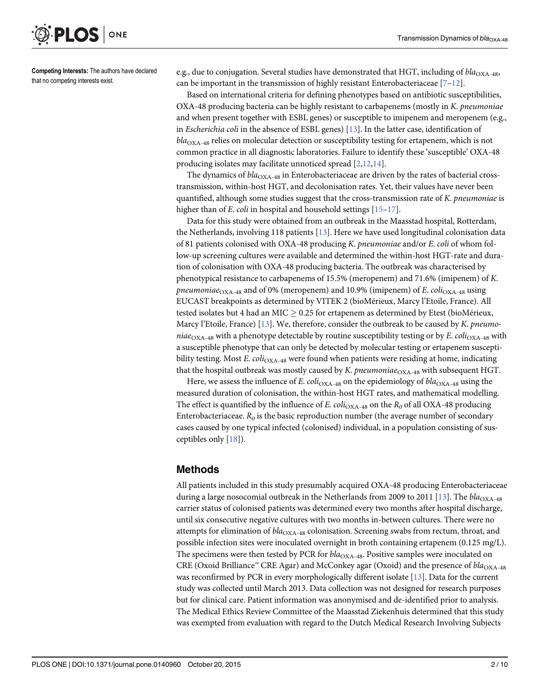<span id="page-1-0"></span>

Competing Interests: The authors have declared that no competing interests exist.

e.g., due to conjugation. Several studies have demonstrated that HGT, including of  $bla_{\rm OXA-48}$ , can be important in the transmission of highly resistant Enterobacteriaceae  $[7-12]$  $[7-12]$  $[7-12]$ .

Based on international criteria for defining phenotypes based on antibiotic susceptibilities, OXA-48 producing bacteria can be highly resistant to carbapenems (mostly in K. pneumoniae and when present together with ESBL genes) or susceptible to imipenem and meropenem (e.g., in Escherichia coli in the absence of ESBL genes)  $[13]$  $[13]$  $[13]$ . In the latter case, identification of  $bla<sub>OXA-48</sub>$  relies on molecular detection or susceptibility testing for ertapenem, which is not common practice in all diagnostic laboratories. Failure to identify these 'susceptible' OXA-48 producing isolates may facilitate unnoticed spread  $[2,12,14]$  $[2,12,14]$  $[2,12,14]$ .

The dynamics of  $bla_{\text{OXA-48}}$  in Enterobacteriaceae are driven by the rates of bacterial crosstransmission, within-host HGT, and decolonisation rates. Yet, their values have never been quantified, although some studies suggest that the cross-transmission rate of K. pneumoniae is higher than of *E. coli* in hospital and household settings [[15](#page-9-0)–[17](#page-9-0)].

Data for this study were obtained from an outbreak in the Maasstad hospital, Rotterdam, the Netherlands, involving 118 patients [\[13\]](#page-9-0). Here we have used longitudinal colonisation data of 81 patients colonised with OXA-48 producing K. pneumoniae and/or E. coli of whom follow-up screening cultures were available and determined the within-host HGT-rate and duration of colonisation with OXA-48 producing bacteria. The outbreak was characterised by phenotypical resistance to carbapenems of 15.5% (meropenem) and 71.6% (imipenem) of K. pneumoniae<sub>OXA-48</sub> and of 0% (meropenem) and 10.9% (imipenem) of E. coli<sub>OXA-48</sub> using EUCAST breakpoints as determined by VITEK 2 (bioMérieux, Marcy l'Etoile, France). All tested isolates but 4 had an MIC  $> 0.25$  for ertapenem as determined by Etest (bioMérieux, Marcy l'Etoile, France) [ $13$ ]. We, therefore, consider the outbreak to be caused by K. pneumoniae<sub>OXA-48</sub> with a phenotype detectable by routine susceptibility testing or by E. coli<sub>OXA-48</sub> with a susceptible phenotype that can only be detected by molecular testing or ertapenem susceptibility testing. Most E.  $col_{\text{OX}_{\text{A}-48}}$  were found when patients were residing at home, indicating that the hospital outbreak was mostly caused by K. pneumoniae $_{\text{OXA-48}}$  with subsequent HGT.

Here, we assess the influence of E. coli<sub>OXA-48</sub> on the epidemiology of  $bla_{\rm OXA-48}$  using the measured duration of colonisation, the within-host HGT rates, and mathematical modelling. The effect is quantified by the influence of E. coli<sub>OXA-48</sub> on the  $R_0$  of all OXA-48 producing Enterobacteriaceae.  $R_0$  is the basic reproduction number (the average number of secondary cases caused by one typical infected (colonised) individual, in a population consisting of susceptibles only  $[18]$  $[18]$  $[18]$ ).

### Methods

All patients included in this study presumably acquired OXA-48 producing Enterobacteriaceae during a large nosocomial outbreak in the Netherlands from 2009 to 2011 [[13\]](#page-9-0). The  $bla_{\text{OX A-48}}$ carrier status of colonised patients was determined every two months after hospital discharge, until six consecutive negative cultures with two months in-between cultures. There were no attempts for elimination of  $bla_{\text{OXA-48}}$  colonisation. Screening swabs from rectum, throat, and possible infection sites were inoculated overnight in broth containing ertapenem (0.125 mg/L). The specimens were then tested by PCR for  $bla_{\text{OXA-48}}$ . Positive samples were inoculated on CRE (Oxoid Brilliance<sup>™</sup> CRE Agar) and McConkey agar (Oxoid) and the presence of  $bla_{\text{OXA-48}}$ was reconfirmed by PCR in every morphologically different isolate [[13](#page-9-0)]. Data for the current study was collected until March 2013. Data collection was not designed for research purposes but for clinical care. Patient information was anonymised and de-identified prior to analysis. The Medical Ethics Review Committee of the Maasstad Ziekenhuis determined that this study was exempted from evaluation with regard to the Dutch Medical Research Involving Subjects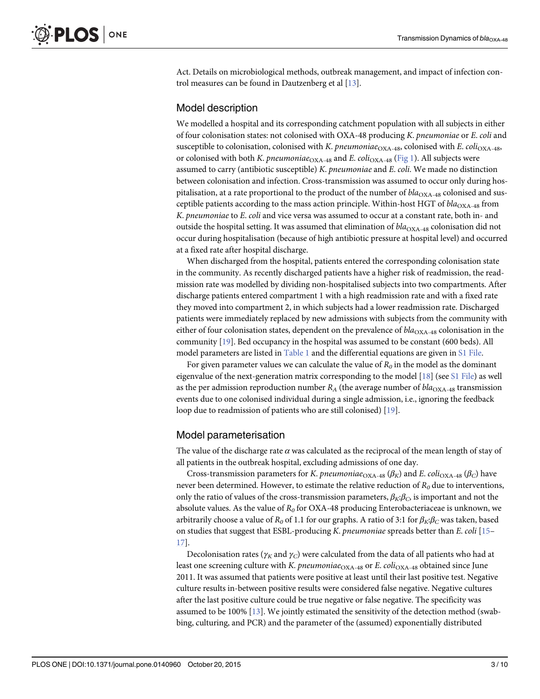<span id="page-2-0"></span>Act. Details on microbiological methods, outbreak management, and impact of infection control measures can be found in Dautzenberg et al [[13](#page-9-0)].

#### Model description

We modelled a hospital and its corresponding catchment population with all subjects in either of four colonisation states: not colonised with OXA-48 producing K. pneumoniae or E. coli and susceptible to colonisation, colonised with K. pneumoniae<sub>OXA-48</sub>, colonised with E. coli<sub>OXA-48</sub>, or colonised with both K. pneumoniae<sub>OXA-48</sub> and E. coli<sub>OXA-48</sub> [\(Fig 1\)](#page-3-0). All subjects were assumed to carry (antibiotic susceptible) K. pneumoniae and E. coli. We made no distinction between colonisation and infection. Cross-transmission was assumed to occur only during hospitalisation, at a rate proportional to the product of the number of  $bla_{\text{OX}_4\text{-}48}$  colonised and susceptible patients according to the mass action principle. Within-host HGT of  $bla_{\rm OXA-48}$  from K. pneumoniae to E. coli and vice versa was assumed to occur at a constant rate, both in- and outside the hospital setting. It was assumed that elimination of  $bla_{\text{OX}_{A-48}}$  colonisation did not occur during hospitalisation (because of high antibiotic pressure at hospital level) and occurred at a fixed rate after hospital discharge.

When discharged from the hospital, patients entered the corresponding colonisation state in the community. As recently discharged patients have a higher risk of readmission, the readmission rate was modelled by dividing non-hospitalised subjects into two compartments. After discharge patients entered compartment 1 with a high readmission rate and with a fixed rate they moved into compartment 2, in which subjects had a lower readmission rate. Discharged patients were immediately replaced by new admissions with subjects from the community with either of four colonisation states, dependent on the prevalence of  $bla_{\text{OXA-48}}$  colonisation in the community  $[19]$  $[19]$ . Bed occupancy in the hospital was assumed to be constant (600 beds). All model parameters are listed in [Table 1](#page-3-0) and the differential equations are given in [S1 File](#page-8-0).

For given parameter values we can calculate the value of  $R_0$  in the model as the dominant eigenvalue of the next-generation matrix corresponding to the model  $[18]$  $[18]$  $[18]$  (see [S1 File\)](#page-8-0) as well as the per admission reproduction number  $R_A$  (the average number of  $bla_{\rm OXA-48}$  transmission events due to one colonised individual during a single admission, i.e., ignoring the feedback loop due to readmission of patients who are still colonised) [\[19](#page-9-0)].

#### Model parameterisation

The value of the discharge rate  $\alpha$  was calculated as the reciprocal of the mean length of stay of all patients in the outbreak hospital, excluding admissions of one day.

Cross-transmission parameters for K. pneumoniae<sub>OXA-48</sub> ( $\beta_K$ ) and E. coli<sub>OXA-48</sub> ( $\beta_C$ ) have never been determined. However, to estimate the relative reduction of  $R_0$  due to interventions, only the ratio of values of the cross-transmission parameters,  $\beta_K$ : $\beta_C$ , is important and not the absolute values. As the value of  $R_0$  for OXA-48 producing Enterobacteriaceae is unknown, we arbitrarily choose a value of  $R_0$  of 1.1 for our graphs. A ratio of 3:1 for  $\beta_K$ ; $\beta_C$  was taken, based on studies that suggest that ESBL-producing K. pneumoniae spreads better than E. coli  $[15]$  $[15]$ [17\]](#page-9-0).

Decolonisation rates ( $\gamma_K$  and  $\gamma_C$ ) were calculated from the data of all patients who had at least one screening culture with K. pneumoniae<sub>OXA-48</sub> or E. coli<sub>OXA-48</sub> obtained since June 2011. It was assumed that patients were positive at least until their last positive test. Negative culture results in-between positive results were considered false negative. Negative cultures after the last positive culture could be true negative or false negative. The specificity was assumed to be 100% [[13](#page-9-0)]. We jointly estimated the sensitivity of the detection method (swabbing, culturing, and PCR) and the parameter of the (assumed) exponentially distributed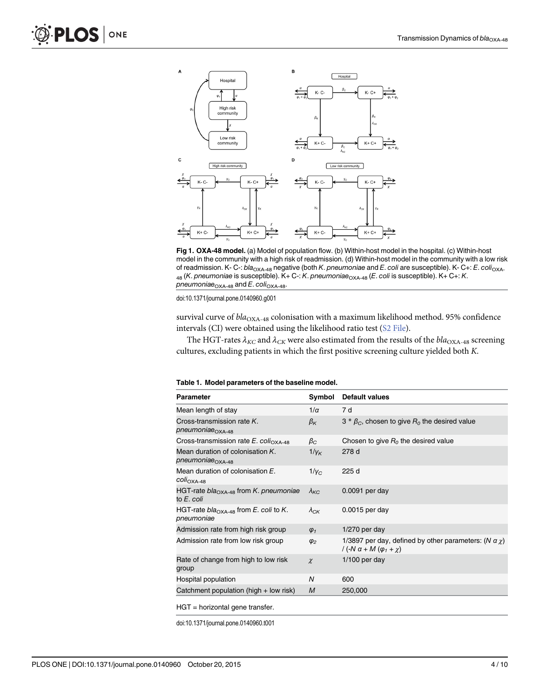<span id="page-3-0"></span>

[Fig 1. O](#page-2-0)XA-48 model. (a) Model of population flow. (b) Within-host model in the hospital. (c) Within-host model in the community with a high risk of readmission. (d) Within-host model in the community with a low risk of readmission. K- C-:  $bla_{\text{OXA-48}}$  negative (both K. pneumoniae and E. coli are susceptible). K- C+: E. coli<sub>OXA-</sub> 48 (K. pneumoniae is susceptible). K+ C-: K. pneumoniae<sub>OXA-48</sub> (E. coli is susceptible). K+ C+: K. pneumoniae $_{\text{OXA-48}}$  and E. coli<sub>OXA-48</sub>.

doi:10.1371/journal.pone.0140960.g001

survival curve of  $bla_{\rm OXA-48}$  colonisation with a maximum likelihood method. 95% confidence intervals (CI) were obtained using the likelihood ratio test  $(S2$  File).

The HGT-rates  $\lambda_{KC}$  and  $\lambda_{CK}$  were also estimated from the results of the  $bla_{\rm OXA-48}$  screening cultures, excluding patients in which the first positive screening culture yielded both K.

| <b>Parameter</b>                                                 | Symbol                  | <b>Default values</b>                                                                                     |
|------------------------------------------------------------------|-------------------------|-----------------------------------------------------------------------------------------------------------|
| Mean length of stay                                              | $1/\alpha$              | 7 d                                                                                                       |
| Cross-transmission rate K.<br>pneumoniae <sub>OXA-48</sub>       | $\beta_{\mathsf{K}}$    | 3 * $\beta_C$ , chosen to give $R_0$ the desired value                                                    |
| Cross-transmission rate $E$ . coli <sub>OXA-48</sub>             | $\beta_C$               | Chosen to give $R_0$ the desired value                                                                    |
| Mean duration of colonisation K.<br>pneumoniae <sub>OXA-48</sub> | $1/\gamma_K$            | 278 d                                                                                                     |
| Mean duration of colonisation E.<br>COlI <sub>OXA-48</sub>       | $1/\gamma_C$            | 225 d                                                                                                     |
| HGT-rate $bla_{\text{OXA-48}}$ from K. pneumoniae<br>to E. coli  | $\lambda_{\mathsf{KC}}$ | 0.0091 per day                                                                                            |
| HGT-rate $bla_{\text{OXA-48}}$ from E. coli to K.<br>pneumoniae  | $\lambda_{CK}$          | $0.0015$ per day                                                                                          |
| Admission rate from high risk group                              | $\varphi_1$             | $1/270$ per day                                                                                           |
| Admission rate from low risk group                               | $\varphi_2$             | 1/3897 per day, defined by other parameters: (N $\alpha \chi$ )<br>/ $(-N \alpha + M (\varphi_1 + \chi))$ |
| Rate of change from high to low risk<br>group                    | $\chi$                  | $1/100$ per day                                                                                           |
| Hospital population                                              | N                       | 600                                                                                                       |
| Catchment population (high $+$ low risk)                         | M                       | 250,000                                                                                                   |
| $\mathbf{11} \mathbf{1}$                                         |                         |                                                                                                           |

HGT = horizontal gene transfer.

doi:10.1371/journal.pone.0140960.t001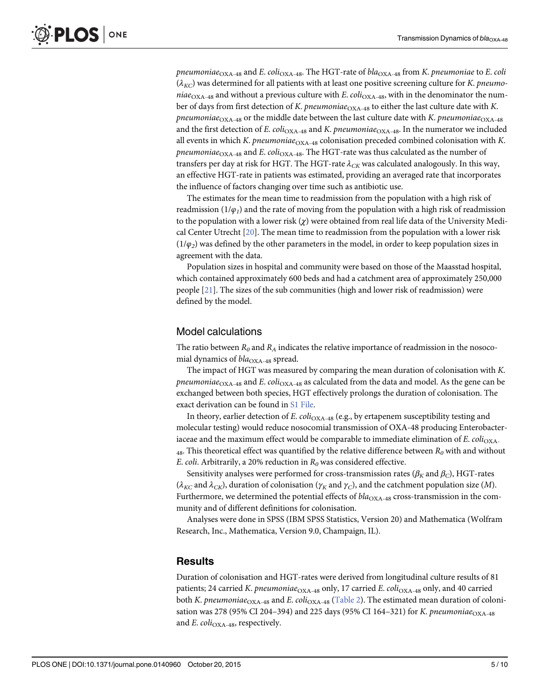<span id="page-4-0"></span>pneumoniae<sub>OXA-48</sub> and E. coli<sub>OXA-48</sub>. The HGT-rate of bla<sub>OXA-48</sub> from K. pneumoniae to E. coli  $(\lambda_{KC})$  was determined for all patients with at least one positive screening culture for K. pneumoniae<sub>OXA-48</sub> and without a previous culture with E.  $coli<sub>OXA-48</sub>$ , with in the denominator the number of days from first detection of K. pneumoniae $_{\rm OXA-48}$  to either the last culture date with K. pneumoniae<sub>OXA-48</sub> or the middle date between the last culture date with K. pneumoniae<sub>OXA-48</sub> and the first detection of E. coli<sub>OXA-48</sub> and K. pneumoniae<sub>OXA-48</sub>. In the numerator we included all events in which K. pneumoniae $_{\rm OXA\text{-}48}$  colonisation preceded combined colonisation with K. pneumoniae<sub>OXA-48</sub> and E. coli<sub>OXA-48</sub>. The HGT-rate was thus calculated as the number of transfers per day at risk for HGT. The HGT-rate  $\lambda_{CK}$  was calculated analogously. In this way, an effective HGT-rate in patients was estimated, providing an averaged rate that incorporates the influence of factors changing over time such as antibiotic use.

The estimates for the mean time to readmission from the population with a high risk of readmission ( $1/\varphi_1$ ) and the rate of moving from the population with a high risk of readmission to the population with a lower risk  $(\chi)$  were obtained from real life data of the University Medical Center Utrecht [[20](#page-9-0)]. The mean time to readmission from the population with a lower risk  $(1/\varphi_2)$  was defined by the other parameters in the model, in order to keep population sizes in agreement with the data.

Population sizes in hospital and community were based on those of the Maasstad hospital, which contained approximately 600 beds and had a catchment area of approximately 250,000 people [[21\]](#page-9-0). The sizes of the sub communities (high and lower risk of readmission) were defined by the model.

#### Model calculations

The ratio between  $R_0$  and  $R_A$  indicates the relative importance of readmission in the nosocomial dynamics of  $bla_{\text{OXA-48}}$  spread.

The impact of HGT was measured by comparing the mean duration of colonisation with K. *pneumoniae*<sub>OXA-48</sub> and *E. coli*<sub>OXA-48</sub> as calculated from the data and model. As the gene can be exchanged between both species, HGT effectively prolongs the duration of colonisation. The exact derivation can be found in [S1 File](#page-8-0).

In theory, earlier detection of E. coli<sub>OXA-48</sub> (e.g., by ertapenem susceptibility testing and molecular testing) would reduce nosocomial transmission of OXA-48 producing Enterobacteriaceae and the maximum effect would be comparable to immediate elimination of E.  $col_{\text{OXA-}}$  $_{48}$ . This theoretical effect was quantified by the relative difference between  $R_0$  with and without E. coli. Arbitrarily, a 20% reduction in  $R_0$  was considered effective.

Sensitivity analyses were performed for cross-transmission rates ( $\beta_K$  and  $\beta_C$ ), HGT-rates ( $\lambda_{KC}$  and  $\lambda_{CK}$ ), duration of colonisation ( $\gamma_K$  and  $\gamma_C$ ), and the catchment population size (*M*). Furthermore, we determined the potential effects of  $bla_{\rm OXA-48}$  cross-transmission in the community and of different definitions for colonisation.

Analyses were done in SPSS (IBM SPSS Statistics, Version 20) and Mathematica (Wolfram Research, Inc., Mathematica, Version 9.0, Champaign, IL).

#### **Results**

Duration of colonisation and HGT-rates were derived from longitudinal culture results of 81 patients; 24 carried K. pneumoniae $_{\text{OXA-48}}$  only, 17 carried E. coli<sub>OXA-48</sub> only, and 40 carried both *K. pneumoniae*<sub>OXA-48</sub> and *E. coli*<sub>OXA-48</sub> ([Table 2\)](#page-5-0). The estimated mean duration of colonisation was 278 (95% CI 204-394) and 225 days (95% CI 164-321) for K. pneumoniae $_{\rm OXA-48}$ and  $E.$   $coli<sub>OXA-48</sub>$ , respectively.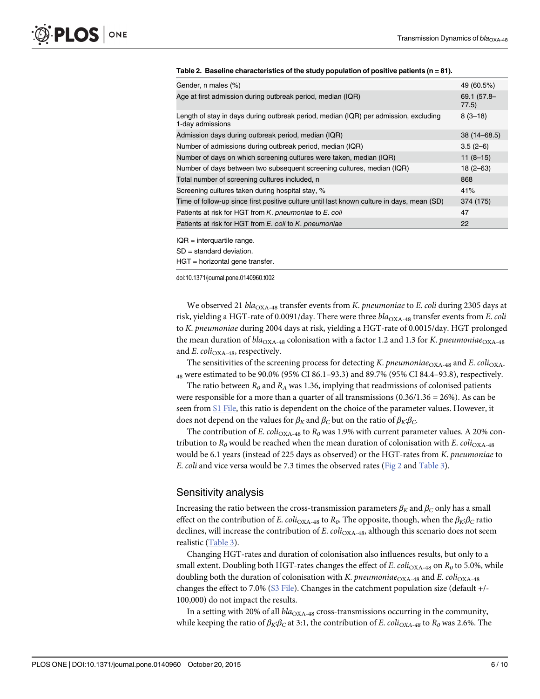#### <span id="page-5-0"></span>[Table 2.](#page-4-0) Baseline characteristics of the study population of positive patients ( $n = 81$ ).

| Gender, n males (%)                                                                                      | 49 (60.5%)           |  |
|----------------------------------------------------------------------------------------------------------|----------------------|--|
| Age at first admission during outbreak period, median (IQR)                                              | 69.1 (57.8-<br>77.5) |  |
| Length of stay in days during outbreak period, median (IQR) per admission, excluding<br>1-day admissions | $8(3-18)$            |  |
| Admission days during outbreak period, median (IQR)                                                      | $38(14 - 68.5)$      |  |
| Number of admissions during outbreak period, median (IQR)                                                | $3.5(2-6)$           |  |
| Number of days on which screening cultures were taken, median (IQR)                                      | $11(8-15)$           |  |
| Number of days between two subsequent screening cultures, median (IQR)                                   | $18(2 - 63)$         |  |
| Total number of screening cultures included, n                                                           | 868                  |  |
| Screening cultures taken during hospital stay, %                                                         | 41%                  |  |
| Time of follow-up since first positive culture until last known culture in days, mean (SD)               | 374 (175)            |  |
| Patients at risk for HGT from K. pneumoniae to E. coli                                                   | 47                   |  |
| Patients at risk for HGT from E. coli to K. pneumoniae                                                   | 22                   |  |
|                                                                                                          |                      |  |

 $IQR =$  interquartile range.

SD = standard deviation.

HGT = horizontal gene transfer.

doi:10.1371/journal.pone.0140960.t002

We observed 21  $bla_{\rm OXA-48}$  transfer events from K. pneumoniae to E. coli during 2305 days at risk, yielding a HGT-rate of 0.0091/day. There were three  $bla_{\text{OXA-48}}$  transfer events from E. coli to K. pneumoniae during 2004 days at risk, yielding a HGT-rate of 0.0015/day. HGT prolonged the mean duration of  $bla_{\text{OXA-48}}$  colonisation with a factor 1.2 and 1.3 for K. pneumoniae<sub>OXA-48</sub> and E. coli<sub>OXA-48</sub>, respectively.

The sensitivities of the screening process for detecting K. pneumoniae<sub>OXA-48</sub> and E. coli<sub>OXA-</sub>  $_{48}$  were estimated to be 90.0% (95% CI 86.1–93.3) and 89.7% (95% CI 84.4–93.8), respectively.

The ratio between  $R_0$  and  $R_A$  was 1.36, implying that readmissions of colonised patients were responsible for a more than a quarter of all transmissions  $(0.36/1.36 = 26%)$ . As can be seen from [S1 File,](#page-8-0) this ratio is dependent on the choice of the parameter values. However, it does not depend on the values for  $\beta_K$  and  $\beta_C$  but on the ratio of  $\beta_K$ : $\beta_C$ .

The contribution of E. coli<sub>OXA-48</sub> to  $R_0$  was 1.9% with current parameter values. A 20% contribution to  $R_0$  would be reached when the mean duration of colonisation with E. coli<sub>OXA-48</sub> would be 6.1 years (instead of 225 days as observed) or the HGT-rates from K. pneumoniae to E. coli and vice versa would be 7.3 times the observed rates [\(Fig 2](#page-6-0) and [Table 3](#page-6-0)).

#### Sensitivity analysis

Increasing the ratio between the cross-transmission parameters  $\beta_K$  and  $\beta_C$  only has a small effect on the contribution of E. coli<sub>OXA-48</sub> to R<sub>0</sub>. The opposite, though, when the  $\beta_K$ ; $\beta_C$  ratio declines, will increase the contribution of E.  $col_{\text{OXA-48}}$ , although this scenario does not seem realistic [\(Table 3\)](#page-6-0).

Changing HGT-rates and duration of colonisation also influences results, but only to a small extent. Doubling both HGT-rates changes the effect of E. coli<sub>OXA-48</sub> on  $R_0$  to 5.0%, while doubling both the duration of colonisation with K. pneumoniae<sub>OXA-48</sub> and E. coli<sub>OXA-48</sub> changes the effect to 7.0% [\(S3 File\)](#page-8-0). Changes in the catchment population size (default +/- 100,000) do not impact the results.

In a setting with 20% of all  $bla_{\rm OXA\text{-}48}$  cross-transmissions occurring in the community, while keeping the ratio of  $\beta_K$ : $\beta_C$  at 3:1, the contribution of E. coli<sub>OXA-48</sub> to  $R_0$  was 2.6%. The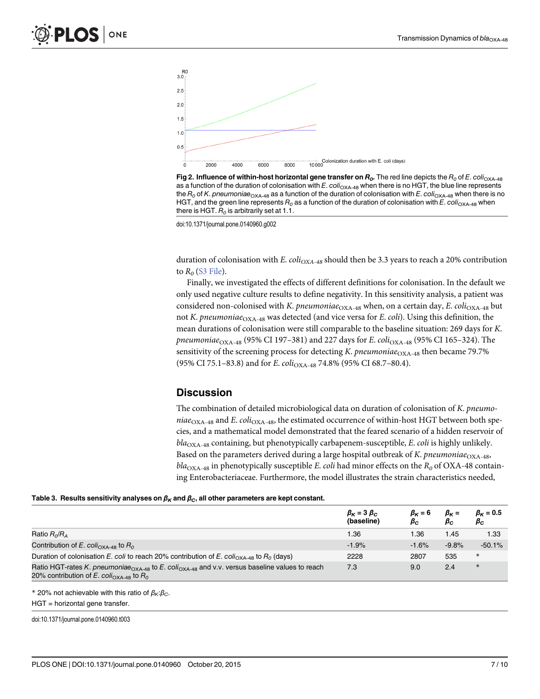<span id="page-6-0"></span>



doi:10.1371/journal.pone.0140960.g002

duration of colonisation with E. coli<sub>OXA-48</sub> should then be 3.3 years to reach a 20% contribution to  $R_0$  [\(S3 File](#page-8-0)).

Finally, we investigated the effects of different definitions for colonisation. In the default we only used negative culture results to define negativity. In this sensitivity analysis, a patient was considered non-colonised with K. pneumoniae $_{\rm OXA-48}$  when, on a certain day, E. coli<sub>OXA-48</sub> but not K. pneumoniae $_{\rm OXA-48}$  was detected (and vice versa for E. coli). Using this definition, the mean durations of colonisation were still comparable to the baseline situation: 269 days for K. pneumoniae<sub>OXA-48</sub> (95% CI 197–381) and 227 days for E. coli<sub>OXA-48</sub> (95% CI 165–324). The sensitivity of the screening process for detecting K. pneumoniae<sub>OXA-48</sub> then became 79.7% (95% CI 75.1-83.8) and for E. coli<sub>OXA-48</sub> 74.8% (95% CI 68.7-80.4).

#### **Discussion**

The combination of detailed microbiological data on duration of colonisation of K. pneumoniae<sub>OXA-48</sub> and E. coli<sub>OXA-48</sub>, the estimated occurrence of within-host HGT between both species, and a mathematical model demonstrated that the feared scenario of a hidden reservoir of  $bla_{\text{OXA-48}}$  containing, but phenotypically carbapenem-susceptible, E. coli is highly unlikely. Based on the parameters derived during a large hospital outbreak of K. pneumoniae<sub>OXA-48</sub>,  $bla_{\text{OXA-48}}$  in phenotypically susceptible E. coli had minor effects on the  $R_0$  of OXA-48 containing Enterobacteriaceae. Furthermore, the model illustrates the strain characteristics needed,

#### [Table 3.](#page-5-0) Results sensitivity analyses on  $\beta_K$  and  $\beta_C$ , all other parameters are kept constant.

|                                                                                                                                                                                 | $\beta_K = 3 \beta_C$<br>(baseline) | $\beta_K = 6$<br>$\beta_C$ | $\beta_K =$<br>$\beta_C$ | $\beta_K = 0.5$<br>$\beta_{C}$ |
|---------------------------------------------------------------------------------------------------------------------------------------------------------------------------------|-------------------------------------|----------------------------|--------------------------|--------------------------------|
| Ratio R <sub>o</sub> /R <sub>4</sub>                                                                                                                                            | 1.36                                | 1.36                       | 1.45                     | 1.33                           |
| Contribution of E. coli <sub>OXA-48</sub> to $R_0$                                                                                                                              | $-1.9%$                             | $-1.6%$                    | $-9.8%$                  | $-50.1%$                       |
| Duration of colonisation E. coli to reach 20% contribution of E. coli <sub>OXA-48</sub> to $R_0$ (days)                                                                         | 2228                                | 2807                       | 535                      | $\ast$                         |
| Ratio HGT-rates K. pneumoniae <sub>OXA-48</sub> to E. coli <sub>OXA-48</sub> and v.v. versus baseline values to reach<br>20% contribution of E. coli <sub>OXA-48</sub> to $R_0$ | 7.3                                 | 9.0                        | 2.4                      | $\ast$                         |

\* 20% not achievable with this ratio of  $β<sub>K</sub>:β<sub>C</sub>$ . HGT = horizontal gene transfer.

doi:10.1371/journal.pone.0140960.t003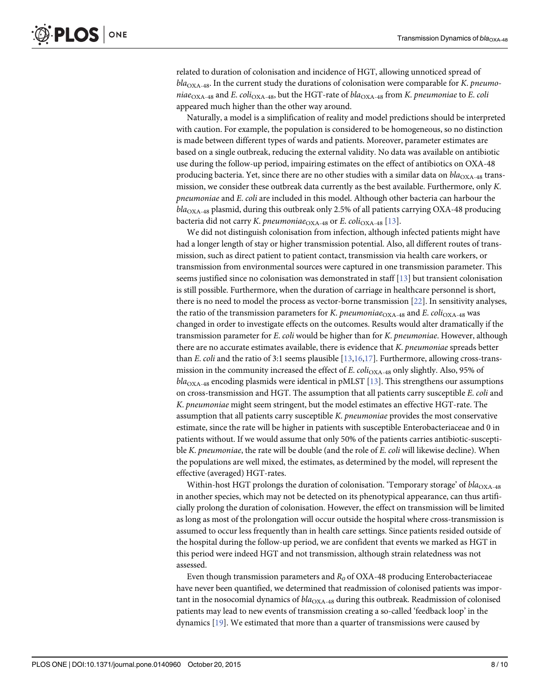<span id="page-7-0"></span>related to duration of colonisation and incidence of HGT, allowing unnoticed spread of  $bla<sub>OXA-48</sub>$ . In the current study the durations of colonisation were comparable for K. pneumoniae<sub>OXA-48</sub> and E. coli<sub>OXA-48</sub>, but the HGT-rate of bla<sub>OXA-48</sub> from K. pneumoniae to E. coli appeared much higher than the other way around.

Naturally, a model is a simplification of reality and model predictions should be interpreted with caution. For example, the population is considered to be homogeneous, so no distinction is made between different types of wards and patients. Moreover, parameter estimates are based on a single outbreak, reducing the external validity. No data was available on antibiotic use during the follow-up period, impairing estimates on the effect of antibiotics on OXA-48 producing bacteria. Yet, since there are no other studies with a similar data on  $bla_{\text{OXA-48}}$  transmission, we consider these outbreak data currently as the best available. Furthermore, only K. pneumoniae and E. coli are included in this model. Although other bacteria can harbour the  $bla<sub>OXA-48</sub> plasmid, during this outbreak only 2.5% of all patients carrying OXA-48 producing$ bacteria did not carry *K. pneumoniae*  $_{\text{OXA-48}}$  or *E. coli* $_{\text{OXA-48}}$  [[13](#page-9-0)].

We did not distinguish colonisation from infection, although infected patients might have had a longer length of stay or higher transmission potential. Also, all different routes of transmission, such as direct patient to patient contact, transmission via health care workers, or transmission from environmental sources were captured in one transmission parameter. This seems justified since no colonisation was demonstrated in staff [[13\]](#page-9-0) but transient colonisation is still possible. Furthermore, when the duration of carriage in healthcare personnel is short, there is no need to model the process as vector-borne transmission [\[22\]](#page-9-0). In sensitivity analyses, the ratio of the transmission parameters for K. pneumoniae<sub>OXA-48</sub> and E. coli<sub>OXA-48</sub> was changed in order to investigate effects on the outcomes. Results would alter dramatically if the transmission parameter for E. coli would be higher than for K. pneumoniae. However, although there are no accurate estimates available, there is evidence that K. pneumoniae spreads better than E. coli and the ratio of 3:1 seems plausible  $[13,16,17]$  $[13,16,17]$  $[13,16,17]$  $[13,16,17]$ . Furthermore, allowing cross-transmission in the community increased the effect of E.  $coli<sub>OXA-48</sub>$  only slightly. Also, 95% of  $bla<sub>OXA-48</sub> encoding plasmids were identical in pMLST [13]. This strengths our assumptions$  $bla<sub>OXA-48</sub> encoding plasmids were identical in pMLST [13]. This strengths our assumptions$  $bla<sub>OXA-48</sub> encoding plasmids were identical in pMLST [13]. This strengths our assumptions$ on cross-transmission and HGT. The assumption that all patients carry susceptible E. coli and K. pneumoniae might seem stringent, but the model estimates an effective HGT-rate. The assumption that all patients carry susceptible K. pneumoniae provides the most conservative estimate, since the rate will be higher in patients with susceptible Enterobacteriaceae and 0 in patients without. If we would assume that only 50% of the patients carries antibiotic-susceptible K. pneumoniae, the rate will be double (and the role of E. coli will likewise decline). When the populations are well mixed, the estimates, as determined by the model, will represent the effective (averaged) HGT-rates.

Within-host HGT prolongs the duration of colonisation. 'Temporary storage' of  $bla_{\text{OXA-48}}$ in another species, which may not be detected on its phenotypical appearance, can thus artificially prolong the duration of colonisation. However, the effect on transmission will be limited as long as most of the prolongation will occur outside the hospital where cross-transmission is assumed to occur less frequently than in health care settings. Since patients resided outside of the hospital during the follow-up period, we are confident that events we marked as HGT in this period were indeed HGT and not transmission, although strain relatedness was not assessed.

Even though transmission parameters and  $R_0$  of OXA-48 producing Enterobacteriaceae have never been quantified, we determined that readmission of colonised patients was important in the nosocomial dynamics of  $bla_{\text{OXA-48}}$  during this outbreak. Readmission of colonised patients may lead to new events of transmission creating a so-called 'feedback loop' in the dynamics [[19](#page-9-0)]. We estimated that more than a quarter of transmissions were caused by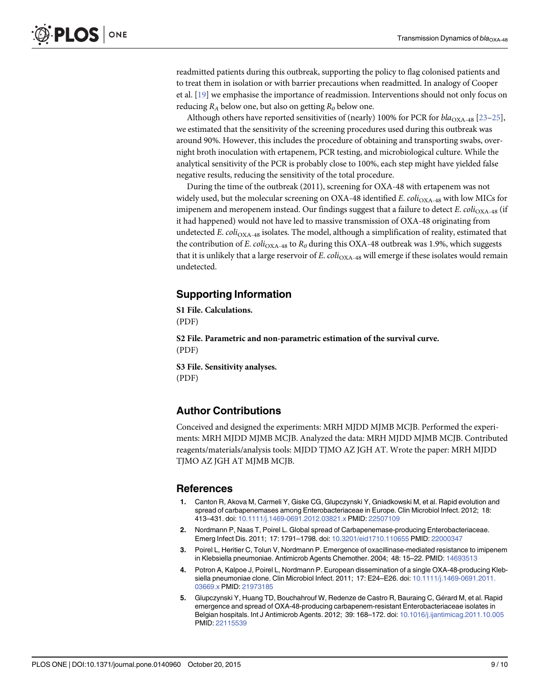<span id="page-8-0"></span>readmitted patients during this outbreak, supporting the policy to flag colonised patients and to treat them in isolation or with barrier precautions when readmitted. In analogy of Cooper et al. [\[19\]](#page-9-0) we emphasise the importance of readmission. Interventions should not only focus on reducing  $R_A$  below one, but also on getting  $R_0$  below one.

Although others have reported sensitivities of (nearly) 100% for PCR for  $bla_{\text{OX}A-48}$  [\[23](#page-9-0)–[25\]](#page-9-0), we estimated that the sensitivity of the screening procedures used during this outbreak was around 90%. However, this includes the procedure of obtaining and transporting swabs, overnight broth inoculation with ertapenem, PCR testing, and microbiological culture. While the analytical sensitivity of the PCR is probably close to 100%, each step might have yielded false negative results, reducing the sensitivity of the total procedure.

During the time of the outbreak (2011), screening for OXA-48 with ertapenem was not widely used, but the molecular screening on OXA-48 identified E.  $col_{\text{OXA-48}}$  with low MICs for imipenem and meropenem instead. Our findings suggest that a failure to detect E. coli<sub>OXA-48</sub> (if it had happened) would not have led to massive transmission of OXA-48 originating from undetected E.  $col_{\text{OXA-48}}$  isolates. The model, although a simplification of reality, estimated that the contribution of E. coli<sub>OXA-48</sub> to  $R_0$  during this OXA-48 outbreak was 1.9%, which suggests that it is unlikely that a large reservoir of E.  $coli<sub>OXA-48</sub>$  will emerge if these isolates would remain undetected.

#### Supporting Information

[S1 File.](http://www.plosone.org/article/fetchSingleRepresentation.action?uri=info:doi/10.1371/journal.pone.0140960.s001) Calculations. (PDF)

[S2 File.](http://www.plosone.org/article/fetchSingleRepresentation.action?uri=info:doi/10.1371/journal.pone.0140960.s002) Parametric and non-parametric estimation of the survival curve. (PDF)

[S3 File.](http://www.plosone.org/article/fetchSingleRepresentation.action?uri=info:doi/10.1371/journal.pone.0140960.s003) Sensitivity analyses. (PDF)

#### Author Contributions

Conceived and designed the experiments: MRH MJDD MJMB MCJB. Performed the experiments: MRH MJDD MJMB MCJB. Analyzed the data: MRH MJDD MJMB MCJB. Contributed reagents/materials/analysis tools: MJDD TJMO AZ JGH AT. Wrote the paper: MRH MJDD TJMO AZ JGH AT MJMB MCJB.

#### References

- [1.](#page-0-0) Canton R, Akova M, Carmeli Y, Giske CG, Glupczynski Y, Gniadkowski M, et al. Rapid evolution and spread of carbapenemases among Enterobacteriaceae in Europe. Clin Microbiol Infect. 2012; 18: 413–431. doi: [10.1111/j.1469-0691.2012.03821.x](http://dx.doi.org/10.1111/j.1469-0691.2012.03821.x) PMID: [22507109](http://www.ncbi.nlm.nih.gov/pubmed/22507109)
- [2.](#page-0-0) Nordmann P, Naas T, Poirel L. Global spread of Carbapenemase-producing Enterobacteriaceae. Emerg Infect Dis. 2011; 17: 1791–1798. doi: [10.3201/eid1710.110655](http://dx.doi.org/10.3201/eid1710.110655) PMID: [22000347](http://www.ncbi.nlm.nih.gov/pubmed/22000347)
- [3.](#page-0-0) Poirel L, Heritier C, Tolun V, Nordmann P. Emergence of oxacillinase-mediated resistance to imipenem in Klebsiella pneumoniae. Antimicrob Agents Chemother. 2004; 48: 15–22. PMID: [14693513](http://www.ncbi.nlm.nih.gov/pubmed/14693513)
- [4.](#page-0-0) Potron A, Kalpoe J, Poirel L, Nordmann P. European dissemination of a single OXA-48-producing Klebsiella pneumoniae clone. Clin Microbiol Infect. 2011; 17: E24–E26. doi: [10.1111/j.1469-0691.2011.](http://dx.doi.org/10.1111/j.1469-0691.2011.03669.x) [03669.x](http://dx.doi.org/10.1111/j.1469-0691.2011.03669.x) PMID: [21973185](http://www.ncbi.nlm.nih.gov/pubmed/21973185)
- 5. Glupczynski Y, Huang TD, Bouchahrouf W, Redenze de Castro R, Bauraing C, Gérard M, et al. Rapid emergence and spread of OXA-48-producing carbapenem-resistant Enterobacteriaceae isolates in Belgian hospitals. Int J Antimicrob Agents. 2012; 39: 168–172. doi: [10.1016/j.ijantimicag.2011.10.005](http://dx.doi.org/10.1016/j.ijantimicag.2011.10.005) PMID: [22115539](http://www.ncbi.nlm.nih.gov/pubmed/22115539)